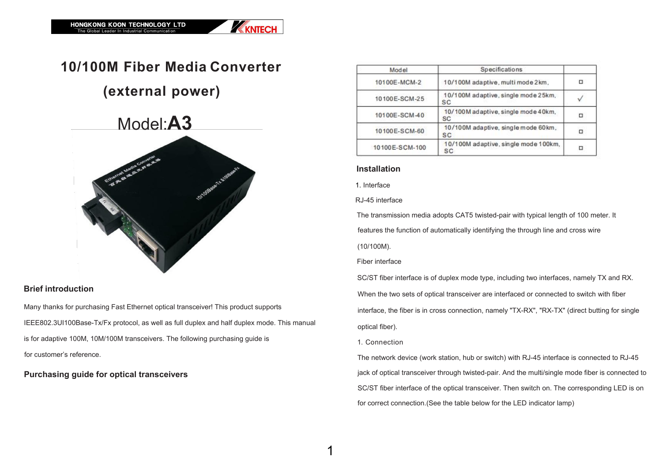## Model:**A3**





# **10/100M Fiber Media Converter**

### **(external power)**

#### **Brief introduction**

Many thanks for purchasing Fast Ethernet optical transceiver! This product supports IEEE802.3UI100Base-Tx/Fx protocol, as well as full duplex and half duplex mode. This manual is for adaptive 100M, 10M/100M transceivers. The following purchasing guide is for customer's reference.

### **Purchasing guide for optical transceivers**

| Model          | Specifications                             |  |  |
|----------------|--------------------------------------------|--|--|
| 10100E-MCM-2   | 10/100M adaptive, multi mode 2km,          |  |  |
| 10100E-SCM-25  | 10/100M adaptive, single mode 25km,<br>SC  |  |  |
| 10100E-SCM-40  | 10/100M adaptive, single mode 40km,<br>SC  |  |  |
| 10100E-SCM-60  | 10/100M adaptive, single mode 60km,<br>SC  |  |  |
| 10100E-SCM-100 | 10/100M adaptive, single mode 100km,<br>SC |  |  |

#### **Installation**

1. Interface

RJ-45 interface

The transmission media adopts CAT5 twisted-pair with typical length of 100 meter. It features the function of automatically identifying the through line and cross wire

(10/100M).

Fiber interface

The network device (work station, hub or switch) with RJ-45 interface is connected to RJ-45 jack of optical transceiver through twisted-pair. And the multi/single mode fiber is connected to SC/ST fiber interface of the optical transceiver. Then switch on. The corresponding LED is on for correct connection.(See the table below for the LED indicator lamp)

SC/ST fiber interface is of duplex mode type, including two interfaces, namely TX and RX. When the two sets of optical transceiver are interfaced or connected to switch with fiber interface, the fiber is in cross connection, namely "TX-RX", "RX-TX" (direct butting for single optical fiber).

1. Connection

 $1$